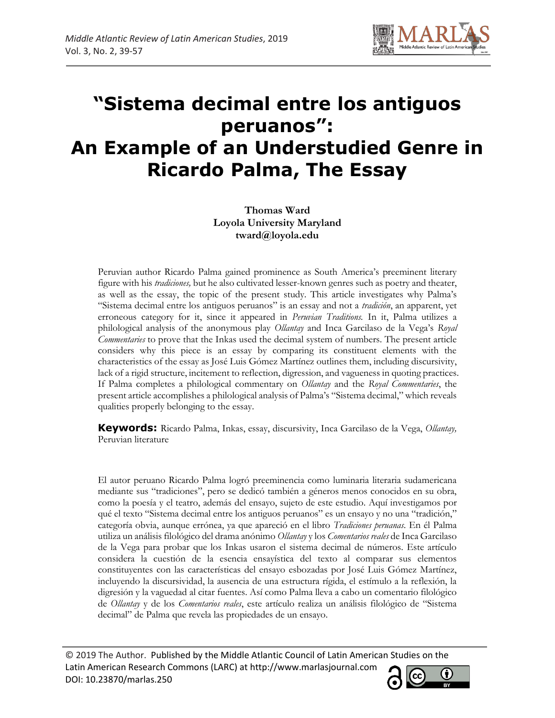

# **"Sistema decimal entre los antiguos peruanos": An Example of an Understudied Genre in Ricardo Palma, The Essay**

**Thomas Ward Loyola University Maryland tward@loyola.edu**

Peruvian author Ricardo Palma gained prominence as South America's preeminent literary figure with his *tradiciones,* but he also cultivated lesser-known genres such as poetry and theater, as well as the essay, the topic of the present study. This article investigates why Palma's "Sistema decimal entre los antiguos peruanos" is an essay and not a *tradición*, an apparent, yet erroneous category for it, since it appeared in *Peruvian Traditions.* In it, Palma utilizes a philological analysis of the anonymous play *Ollantay* and Inca Garcilaso de la Vega's *Royal Commentaries* to prove that the Inkas used the decimal system of numbers. The present article considers why this piece is an essay by comparing its constituent elements with the characteristics of the essay as José Luis Gómez Martínez outlines them, including discursivity, lack of a rigid structure, incitement to reflection, digression, and vagueness in quoting practices. If Palma completes a philological commentary on *Ollantay* and the *Royal Commentaries*, the present article accomplishes a philological analysis of Palma's "Sistema decimal," which reveals qualities properly belonging to the essay.

**Keywords:** Ricardo Palma, Inkas, essay, discursivity, Inca Garcilaso de la Vega, *Ollantay,*  Peruvian literature

El autor peruano Ricardo Palma logró preeminencia como luminaria literaria sudamericana mediante sus "tradiciones", pero se dedicó también a géneros menos conocidos en su obra, como la poesía y el teatro, además del ensayo, sujeto de este estudio. Aquí investigamos por qué el texto "Sistema decimal entre los antiguos peruanos" es un ensayo y no una "tradición," categoría obvia, aunque errónea, ya que apareció en el libro *Tradiciones peruanas*. En él Palma utiliza un análisis filológico del drama anónimo *Ollantay* y los *Comentarios reales* de Inca Garcilaso de la Vega para probar que los Inkas usaron el sistema decimal de números. Este artículo considera la cuestión de la esencia ensayística del texto al comparar sus elementos constituyentes con las características del ensayo esbozadas por José Luis Gómez Martínez, incluyendo la discursividad, la ausencia de una estructura rígida, el estímulo a la reflexión, la digresión y la vaguedad al citar fuentes. Así como Palma lleva a cabo un comentario filológico de *Ollantay* y de los *Comentarios reales*, este artículo realiza un análisis filológico de "Sistema decimal" de Palma que revela las propiedades de un ensayo.

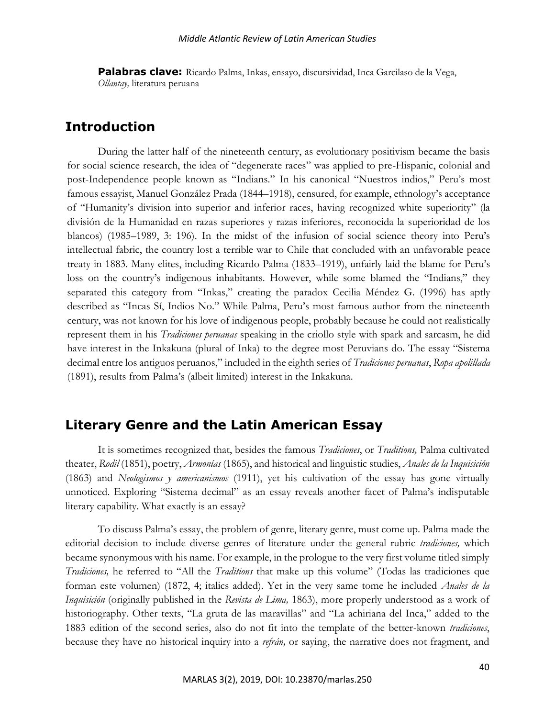**Palabras clave:** Ricardo Palma, Inkas, ensayo, discursividad, Inca Garcilaso de la Vega, *Ollantay,* literatura peruana

# **Introduction**

During the latter half of the nineteenth century, as evolutionary positivism became the basis for social science research, the idea of "degenerate races" was applied to pre-Hispanic, colonial and post-Independence people known as "Indians." In his canonical "Nuestros indios," Peru's most famous essayist, Manuel González Prada (1844–1918), censured, for example, ethnology's acceptance of "Humanity's division into superior and inferior races, having recognized white superiority" (la división de la Humanidad en razas superiores y razas inferiores, reconocida la superioridad de los blancos) (1985–1989, 3: 196). In the midst of the infusion of social science theory into Peru's intellectual fabric, the country lost a terrible war to Chile that concluded with an unfavorable peace treaty in 1883. Many elites, including Ricardo Palma (1833–1919), unfairly laid the blame for Peru's loss on the country's indigenous inhabitants. However, while some blamed the "Indians," they separated this category from "Inkas," creating the paradox Cecilia Méndez G. (1996) has aptly described as "Incas Sí, Indios No." While Palma, Peru's most famous author from the nineteenth century, was not known for his love of indigenous people, probably because he could not realistically represent them in his *Tradiciones peruanas* speaking in the criollo style with spark and sarcasm, he did have interest in the Inkakuna (plural of Inka) to the degree most Peruvians do. The essay "Sistema decimal entre los antiguos peruanos," included in the eighth series of *Tradiciones peruanas*, *Ropa apolillada* (1891), results from Palma's (albeit limited) interest in the Inkakuna.

# **Literary Genre and the Latin American Essay**

It is sometimes recognized that, besides the famous *Tradiciones*, or *Traditions,* Palma cultivated theater, *Rodil* (1851), poetry, *Armonías* (1865), and historical and linguistic studies, *Anales de la Inquisición*  (1863) and *Neologismos y americanismos* (1911), yet his cultivation of the essay has gone virtually unnoticed. Exploring "Sistema decimal" as an essay reveals another facet of Palma's indisputable literary capability. What exactly is an essay?

To discuss Palma's essay, the problem of genre, literary genre, must come up. Palma made the editorial decision to include diverse genres of literature under the general rubric *tradiciones,* which became synonymous with his name. For example, in the prologue to the very first volume titled simply *Tradiciones,* he referred to "All the *Traditions* that make up this volume" (Todas las tradiciones que forman este volumen) (1872, 4; italics added). Yet in the very same tome he included *Anales de la Inquisición* (originally published in the *Revista de Lima,* 1863), more properly understood as a work of historiography. Other texts, "La gruta de las maravillas" and "La achiriana del Inca," added to the 1883 edition of the second series, also do not fit into the template of the better-known *tradiciones*, because they have no historical inquiry into a *refrán,* or saying, the narrative does not fragment, and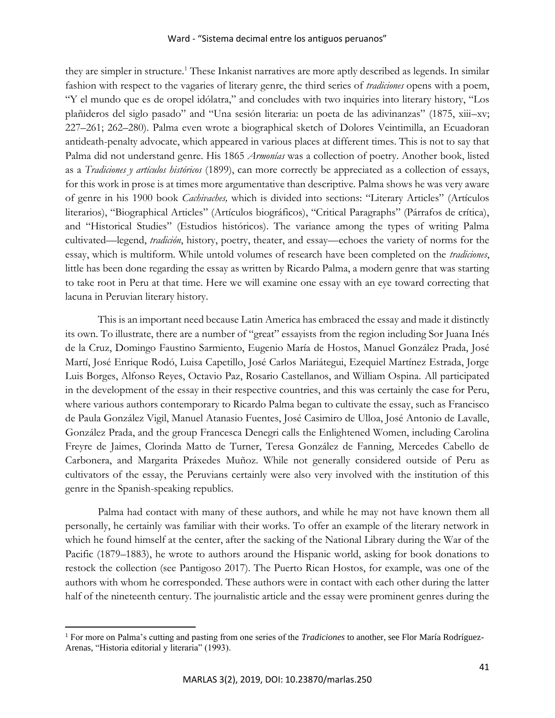they are simpler in structure.<sup>1</sup> These Inkanist narratives are more aptly described as legends. In similar fashion with respect to the vagaries of literary genre, the third series of *tradiciones* opens with a poem, "Y el mundo que es de oropel idólatra," and concludes with two inquiries into literary history, "Los plañideros del siglo pasado" and "Una sesión literaria: un poeta de las adivinanzas" (1875, xiii–xv; 227–261; 262–280). Palma even wrote a biographical sketch of Dolores Veintimilla, an Ecuadoran antideath-penalty advocate, which appeared in various places at different times. This is not to say that Palma did not understand genre. His 1865 *Armonías* was a collection of poetry. Another book, listed as a *Tradiciones y artículos históricos* (1899), can more correctly be appreciated as a collection of essays, for this work in prose is at times more argumentative than descriptive. Palma shows he was very aware of genre in his 1900 book *Cachivaches,* which is divided into sections: "Literary Articles" (Artículos literarios), "Biographical Articles" (Artículos biográficos), "Critical Paragraphs" (Párrafos de crítica), and "Historical Studies" (Estudios históricos). The variance among the types of writing Palma cultivated—legend, *tradición*, history, poetry, theater, and essay—echoes the variety of norms for the essay, which is multiform. While untold volumes of research have been completed on the *tradiciones*, little has been done regarding the essay as written by Ricardo Palma, a modern genre that was starting to take root in Peru at that time. Here we will examine one essay with an eye toward correcting that lacuna in Peruvian literary history.

This is an important need because Latin America has embraced the essay and made it distinctly its own. To illustrate, there are a number of "great" essayists from the region including Sor Juana Inés de la Cruz, Domingo Faustino Sarmiento, Eugenio María de Hostos, Manuel González Prada, José Martí, José Enrique Rodó, Luisa Capetillo, José Carlos Mariátegui, Ezequiel Martínez Estrada, Jorge Luis Borges, Alfonso Reyes, Octavio Paz, Rosario Castellanos, and William Ospina. All participated in the development of the essay in their respective countries, and this was certainly the case for Peru, where various authors contemporary to Ricardo Palma began to cultivate the essay, such as Francisco de Paula González Vigil, Manuel Atanasio Fuentes, José Casimiro de Ulloa, José Antonio de Lavalle, González Prada, and the group Francesca Denegri calls the Enlightened Women, including Carolina Freyre de Jaimes, Clorinda Matto de Turner, Teresa González de Fanning, Mercedes Cabello de Carbonera, and Margarita Práxedes Muñoz. While not generally considered outside of Peru as cultivators of the essay, the Peruvians certainly were also very involved with the institution of this genre in the Spanish-speaking republics.

Palma had contact with many of these authors, and while he may not have known them all personally, he certainly was familiar with their works. To offer an example of the literary network in which he found himself at the center, after the sacking of the National Library during the War of the Pacific (1879–1883), he wrote to authors around the Hispanic world, asking for book donations to restock the collection (see Pantigoso 2017). The Puerto Rican Hostos, for example, was one of the authors with whom he corresponded. These authors were in contact with each other during the latter half of the nineteenth century. The journalistic article and the essay were prominent genres during the

<sup>&</sup>lt;sup>1</sup> For more on Palma's cutting and pasting from one series of the *Tradiciones* to another, see Flor María Rodríguez-Arenas, "Historia editorial y literaria" (1993).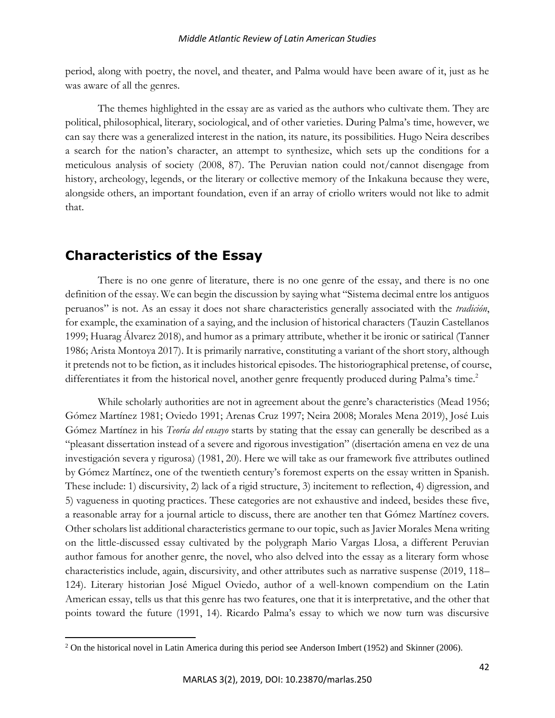period, along with poetry, the novel, and theater, and Palma would have been aware of it, just as he was aware of all the genres.

The themes highlighted in the essay are as varied as the authors who cultivate them. They are political, philosophical, literary, sociological, and of other varieties. During Palma's time, however, we can say there was a generalized interest in the nation, its nature, its possibilities. Hugo Neira describes a search for the nation's character, an attempt to synthesize, which sets up the conditions for a meticulous analysis of society (2008, 87). The Peruvian nation could not/cannot disengage from history, archeology, legends, or the literary or collective memory of the Inkakuna because they were, alongside others, an important foundation, even if an array of criollo writers would not like to admit that.

# **Characteristics of the Essay**

There is no one genre of literature, there is no one genre of the essay, and there is no one definition of the essay. We can begin the discussion by saying what "Sistema decimal entre los antiguos peruanos" is not. As an essay it does not share characteristics generally associated with the *tradición*, for example, the examination of a saying, and the inclusion of historical characters (Tauzin Castellanos 1999; Huarag Álvarez 2018), and humor as a primary attribute, whether it be ironic or satirical (Tanner 1986; Arista Montoya 2017). It is primarily narrative, constituting a variant of the short story, although it pretends not to be fiction, as it includes historical episodes. The historiographical pretense, of course, differentiates it from the historical novel, another genre frequently produced during Palma's time.<sup>2</sup>

While scholarly authorities are not in agreement about the genre's characteristics (Mead 1956; Gómez Martínez 1981; Oviedo 1991; Arenas Cruz 1997; Neira 2008; Morales Mena 2019), José Luis Gómez Martínez in his *Teoría del ensayo* starts by stating that the essay can generally be described as a "pleasant dissertation instead of a severe and rigorous investigation" (disertación amena en vez de una investigación severa y rigurosa) (1981, 20). Here we will take as our framework five attributes outlined by Gómez Martínez, one of the twentieth century's foremost experts on the essay written in Spanish. These include: 1) discursivity, 2) lack of a rigid structure, 3) incitement to reflection, 4) digression, and 5) vagueness in quoting practices. These categories are not exhaustive and indeed, besides these five, a reasonable array for a journal article to discuss, there are another ten that Gómez Martínez covers. Other scholars list additional characteristics germane to our topic, such as Javier Morales Mena writing on the little-discussed essay cultivated by the polygraph Mario Vargas Llosa, a different Peruvian author famous for another genre, the novel, who also delved into the essay as a literary form whose characteristics include, again, discursivity, and other attributes such as narrative suspense (2019, 118– 124). Literary historian José Miguel Oviedo, author of a well-known compendium on the Latin American essay, tells us that this genre has two features, one that it is interpretative, and the other that points toward the future (1991, 14). Ricardo Palma's essay to which we now turn was discursive

 $2$  On the historical novel in Latin America during this period see Anderson Imbert (1952) and Skinner (2006).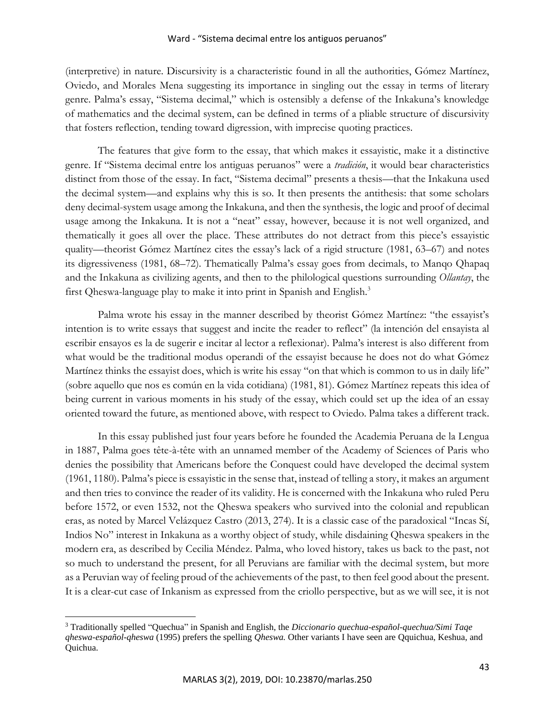(interpretive) in nature. Discursivity is a characteristic found in all the authorities, Gómez Martínez, Oviedo, and Morales Mena suggesting its importance in singling out the essay in terms of literary genre. Palma's essay, "Sistema decimal," which is ostensibly a defense of the Inkakuna's knowledge of mathematics and the decimal system, can be defined in terms of a pliable structure of discursivity that fosters reflection, tending toward digression, with imprecise quoting practices.

The features that give form to the essay, that which makes it essayistic, make it a distinctive genre. If "Sistema decimal entre los antiguas peruanos" were a *tradición*, it would bear characteristics distinct from those of the essay. In fact, "Sistema decimal" presents a thesis—that the Inkakuna used the decimal system—and explains why this is so. It then presents the antithesis: that some scholars deny decimal-system usage among the Inkakuna, and then the synthesis, the logic and proof of decimal usage among the Inkakuna. It is not a "neat" essay, however, because it is not well organized, and thematically it goes all over the place. These attributes do not detract from this piece's essayistic quality—theorist Gómez Martínez cites the essay's lack of a rigid structure (1981, 63–67) and notes its digressiveness (1981, 68–72). Thematically Palma's essay goes from decimals, to Manqo Qhapaq and the Inkakuna as civilizing agents, and then to the philological questions surrounding *Ollantay*, the first Qheswa-language play to make it into print in Spanish and English.<sup>3</sup>

Palma wrote his essay in the manner described by theorist Gómez Martínez: "the essayist's intention is to write essays that suggest and incite the reader to reflect" (la intención del ensayista al escribir ensayos es la de sugerir e incitar al lector a reflexionar). Palma's interest is also different from what would be the traditional modus operandi of the essayist because he does not do what Gómez Martínez thinks the essayist does, which is write his essay "on that which is common to us in daily life" (sobre aquello que nos es común en la vida cotidiana) (1981, 81). Gómez Martínez repeats this idea of being current in various moments in his study of the essay, which could set up the idea of an essay oriented toward the future, as mentioned above, with respect to Oviedo. Palma takes a different track.

In this essay published just four years before he founded the Academia Peruana de la Lengua in 1887, Palma goes tête-à-tête with an unnamed member of the Academy of Sciences of Paris who denies the possibility that Americans before the Conquest could have developed the decimal system (1961, 1180). Palma's piece is essayistic in the sense that, instead of telling a story, it makes an argument and then tries to convince the reader of its validity. He is concerned with the Inkakuna who ruled Peru before 1572, or even 1532, not the Qheswa speakers who survived into the colonial and republican eras, as noted by Marcel Velázquez Castro (2013, 274). It is a classic case of the paradoxical "Incas Sí, Indios No" interest in Inkakuna as a worthy object of study, while disdaining Qheswa speakers in the modern era, as described by Cecilia Méndez. Palma, who loved history, takes us back to the past, not so much to understand the present, for all Peruvians are familiar with the decimal system, but more as a Peruvian way of feeling proud of the achievements of the past, to then feel good about the present. It is a clear-cut case of Inkanism as expressed from the criollo perspective, but as we will see, it is not

<sup>3</sup> Traditionally spelled "Quechua" in Spanish and English, the *Diccionario quechua-español-quechua/Simi Taqe qheswa-español-qheswa* (1995) prefers the spelling *Qheswa.* Other variants I have seen are Qquichua, Keshua, and Quichua.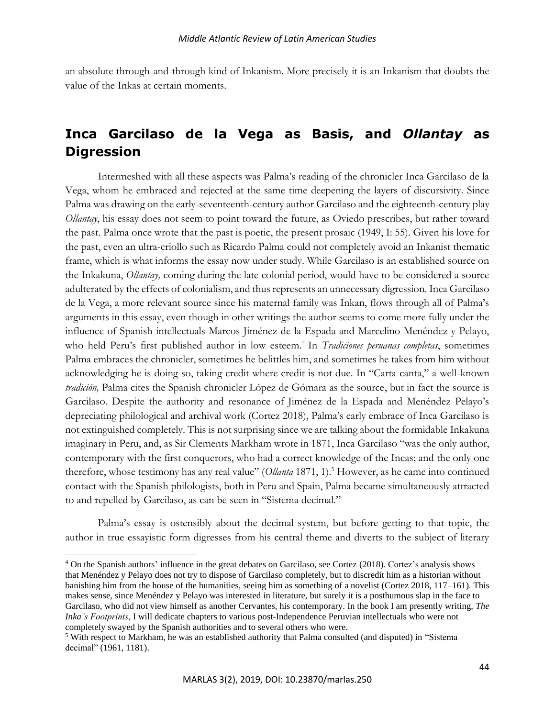an absolute through-and-through kind of Inkanism. More precisely it is an Inkanism that doubts the value of the Inkas at certain moments.

# **Inca Garcilaso de la Vega as Basis, and** *Ollantay* **as Digression**

Intermeshed with all these aspects was Palma's reading of the chronicler Inca Garcilaso de la Vega, whom he embraced and rejected at the same time deepening the layers of discursivity. Since Palma was drawing on the early-seventeenth-century author Garcilaso and the eighteenth-century play *Ollantay*, his essay does not seem to point toward the future, as Oviedo prescribes, but rather toward the past. Palma once wrote that the past is poetic, the present prosaic (1949, I: 55). Given his love for the past, even an ultra-criollo such as Ricardo Palma could not completely avoid an Inkanist thematic frame, which is what informs the essay now under study. While Garcilaso is an established source on the Inkakuna, *Ollantay,* coming during the late colonial period, would have to be considered a source adulterated by the effects of colonialism, and thus represents an unnecessary digression. Inca Garcilaso de la Vega, a more relevant source since his maternal family was Inkan, flows through all of Palma's arguments in this essay, even though in other writings the author seems to come more fully under the influence of Spanish intellectuals Marcos Jiménez de la Espada and Marcelino Menéndez y Pelayo, who held Peru's first published author in low esteem.<sup>4</sup> In *Tradiciones peruanas completas*, sometimes Palma embraces the chronicler, sometimes he belittles him, and sometimes he takes from him without acknowledging he is doing so, taking credit where credit is not due. In "Carta canta," a well-known *tradición,* Palma cites the Spanish chronicler López de Gómara as the source, but in fact the source is Garcilaso. Despite the authority and resonance of Jiménez de la Espada and Menéndez Pelayo's depreciating philological and archival work (Cortez 2018), Palma's early embrace of Inca Garcilaso is not extinguished completely. This is not surprising since we are talking about the formidable Inkakuna imaginary in Peru, and, as Sir Clements Markham wrote in 1871, Inca Garcilaso "was the only author, contemporary with the first conquerors, who had a correct knowledge of the Incas; and the only one therefore, whose testimony has any real value" (*Ollanta* 1871, 1).<sup>5</sup> However, as he came into continued contact with the Spanish philologists, both in Peru and Spain, Palma became simultaneously attracted to and repelled by Garcilaso, as can be seen in "Sistema decimal."

Palma's essay is ostensibly about the decimal system, but before getting to that topic, the author in true essayistic form digresses from his central theme and diverts to the subject of literary

<sup>&</sup>lt;sup>4</sup> On the Spanish authors' influence in the great debates on Garcilaso, see Cortez (2018). Cortez's analysis shows that Menéndez y Pelayo does not try to dispose of Garcilaso completely, but to discredit him as a historian without banishing him from the house of the humanities, seeing him as something of a novelist (Cortez 2018, 117–161). This makes sense, since Menéndez y Pelayo was interested in literature, but surely it is a posthumous slap in the face to Garcilaso, who did not view himself as another Cervantes, his contemporary. In the book I am presently writing, *The Inka's Footprints*, I will dedicate chapters to various post-Independence Peruvian intellectuals who were not completely swayed by the Spanish authorities and to several others who were.

<sup>5</sup> With respect to Markham, he was an established authority that Palma consulted (and disputed) in "Sistema decimal" (1961, 1181).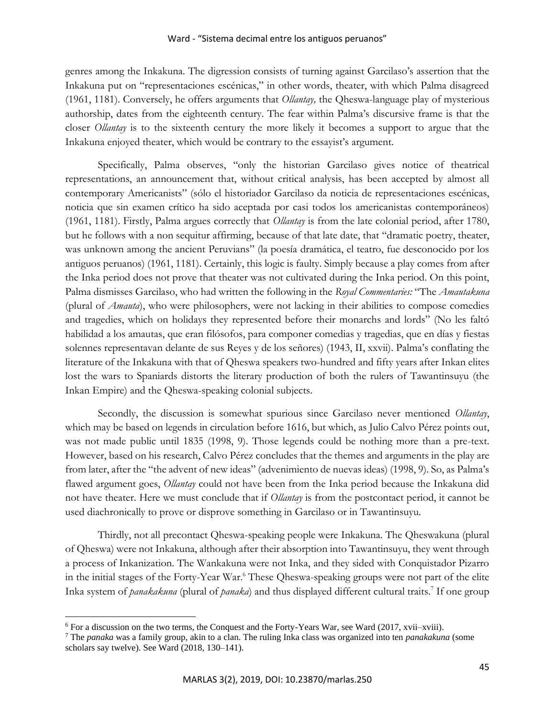genres among the Inkakuna. The digression consists of turning against Garcilaso's assertion that the Inkakuna put on "representaciones escénicas," in other words, theater, with which Palma disagreed (1961, 1181). Conversely, he offers arguments that *Ollantay,* the Qheswa-language play of mysterious authorship, dates from the eighteenth century. The fear within Palma's discursive frame is that the closer *Ollantay* is to the sixteenth century the more likely it becomes a support to argue that the Inkakuna enjoyed theater, which would be contrary to the essayist's argument.

Specifically, Palma observes, "only the historian Garcilaso gives notice of theatrical representations, an announcement that, without critical analysis, has been accepted by almost all contemporary Americanists" (sólo el historiador Garcilaso da noticia de representaciones escénicas, noticia que sin examen crítico ha sido aceptada por casi todos los americanistas contemporáneos) (1961, 1181). Firstly, Palma argues correctly that *Ollantay* is from the late colonial period, after 1780, but he follows with a non sequitur affirming, because of that late date, that "dramatic poetry, theater, was unknown among the ancient Peruvians" (la poesía dramática, el teatro, fue desconocido por los antiguos peruanos) (1961, 1181). Certainly, this logic is faulty. Simply because a play comes from after the Inka period does not prove that theater was not cultivated during the Inka period. On this point, Palma dismisses Garcilaso, who had written the following in the *Royal Commentaries:* "The *Amautakuna*  (plural of *Amauta*), who were philosophers, were not lacking in their abilities to compose comedies and tragedies, which on holidays they represented before their monarchs and lords" (No les faltó habilidad a los amautas, que eran filósofos, para componer comedias y tragedias, que en días y fiestas solennes representavan delante de sus Reyes y de los señores) (1943, II, xxvii). Palma's conflating the literature of the Inkakuna with that of Qheswa speakers two-hundred and fifty years after Inkan elites lost the wars to Spaniards distorts the literary production of both the rulers of Tawantinsuyu (the Inkan Empire) and the Qheswa-speaking colonial subjects.

Secondly, the discussion is somewhat spurious since Garcilaso never mentioned *Ollantay*, which may be based on legends in circulation before 1616, but which, as Julio Calvo Pérez points out, was not made public until 1835 (1998, 9). Those legends could be nothing more than a pre-text. However, based on his research, Calvo Pérez concludes that the themes and arguments in the play are from later, after the "the advent of new ideas" (advenimiento de nuevas ideas) (1998, 9). So, as Palma's flawed argument goes, *Ollantay* could not have been from the Inka period because the Inkakuna did not have theater. Here we must conclude that if *Ollantay* is from the postcontact period, it cannot be used diachronically to prove or disprove something in Garcilaso or in Tawantinsuyu.

Thirdly, not all precontact Qheswa-speaking people were Inkakuna. The Qheswakuna (plural of Qheswa) were not Inkakuna, although after their absorption into Tawantinsuyu, they went through a process of Inkanization. The Wankakuna were not Inka, and they sided with Conquistador Pizarro in the initial stages of the Forty-Year War.<sup>6</sup> These Qheswa-speaking groups were not part of the elite Inka system of *panakakuna* (plural of *panaka*) and thus displayed different cultural traits.<sup>7</sup> If one group

<sup>6</sup> For a discussion on the two terms, the Conquest and the Forty-Years War, see Ward (2017, xvii–xviii).

<sup>7</sup> The *panaka* was a family group, akin to a clan. The ruling Inka class was organized into ten *panakakuna* (some scholars say twelve). See Ward (2018, 130–141).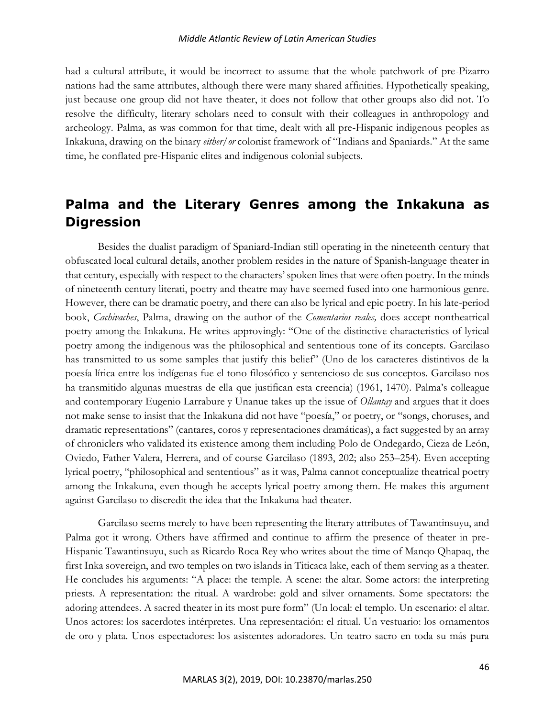### *Middle Atlantic Review of Latin American Studies*

had a cultural attribute, it would be incorrect to assume that the whole patchwork of pre-Pizarro nations had the same attributes, although there were many shared affinities. Hypothetically speaking, just because one group did not have theater, it does not follow that other groups also did not. To resolve the difficulty, literary scholars need to consult with their colleagues in anthropology and archeology. Palma, as was common for that time, dealt with all pre-Hispanic indigenous peoples as Inkakuna, drawing on the binary *either/or* colonist framework of "Indians and Spaniards." At the same time, he conflated pre-Hispanic elites and indigenous colonial subjects.

# **Palma and the Literary Genres among the Inkakuna as Digression**

Besides the dualist paradigm of Spaniard-Indian still operating in the nineteenth century that obfuscated local cultural details, another problem resides in the nature of Spanish-language theater in that century, especially with respect to the characters' spoken lines that were often poetry. In the minds of nineteenth century literati, poetry and theatre may have seemed fused into one harmonious genre. However, there can be dramatic poetry, and there can also be lyrical and epic poetry. In his late-period book, *Cachivaches*, Palma, drawing on the author of the *Comentarios reales,* does accept nontheatrical poetry among the Inkakuna. He writes approvingly: "One of the distinctive characteristics of lyrical poetry among the indigenous was the philosophical and sententious tone of its concepts. Garcilaso has transmitted to us some samples that justify this belief" (Uno de los caracteres distintivos de la poesía lírica entre los indígenas fue el tono filosófico y sentencioso de sus conceptos. Garcilaso nos ha transmitido algunas muestras de ella que justifican esta creencia) (1961, 1470). Palma's colleague and contemporary Eugenio Larrabure y Unanue takes up the issue of *Ollantay* and argues that it does not make sense to insist that the Inkakuna did not have "poesía," or poetry, or "songs, choruses, and dramatic representations" (cantares, coros y representaciones dramáticas), a fact suggested by an array of chroniclers who validated its existence among them including Polo de Ondegardo, Cieza de León, Oviedo, Father Valera, Herrera, and of course Garcilaso (1893, 202; also 253–254). Even accepting lyrical poetry, "philosophical and sententious" as it was, Palma cannot conceptualize theatrical poetry among the Inkakuna, even though he accepts lyrical poetry among them. He makes this argument against Garcilaso to discredit the idea that the Inkakuna had theater.

Garcilaso seems merely to have been representing the literary attributes of Tawantinsuyu, and Palma got it wrong. Others have affirmed and continue to affirm the presence of theater in pre-Hispanic Tawantinsuyu, such as Ricardo Roca Rey who writes about the time of Manqo Qhapaq, the first Inka sovereign, and two temples on two islands in Titicaca lake, each of them serving as a theater. He concludes his arguments: "A place: the temple. A scene: the altar. Some actors: the interpreting priests. A representation: the ritual. A wardrobe: gold and silver ornaments. Some spectators: the adoring attendees. A sacred theater in its most pure form" (Un local: el templo. Un escenario: el altar. Unos actores: los sacerdotes intérpretes. Una representación: el ritual. Un vestuario: los ornamentos de oro y plata. Unos espectadores: los asistentes adoradores. Un teatro sacro en toda su más pura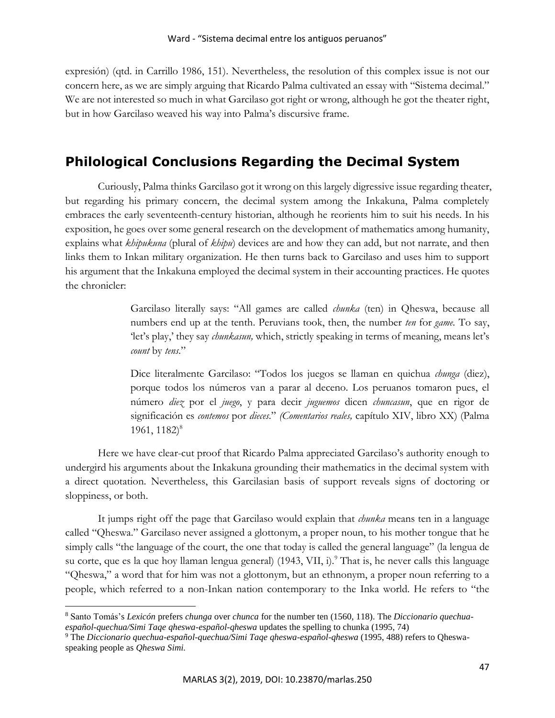expresión) (qtd. in Carrillo 1986, 151). Nevertheless, the resolution of this complex issue is not our concern here, as we are simply arguing that Ricardo Palma cultivated an essay with "Sistema decimal." We are not interested so much in what Garcilaso got right or wrong, although he got the theater right, but in how Garcilaso weaved his way into Palma's discursive frame.

# **Philological Conclusions Regarding the Decimal System**

Curiously, Palma thinks Garcilaso got it wrong on this largely digressive issue regarding theater, but regarding his primary concern, the decimal system among the Inkakuna, Palma completely embraces the early seventeenth-century historian, although he reorients him to suit his needs. In his exposition, he goes over some general research on the development of mathematics among humanity, explains what *khipukuna* (plural of *khipu*) devices are and how they can add, but not narrate, and then links them to Inkan military organization. He then turns back to Garcilaso and uses him to support his argument that the Inkakuna employed the decimal system in their accounting practices. He quotes the chronicler:

> Garcilaso literally says: "All games are called *chunka* (ten) in Qheswa, because all numbers end up at the tenth. Peruvians took, then, the number *ten* for *game.* To say, 'let's play,' they say *chunkasun,* which, strictly speaking in terms of meaning, means let's *count* by *tens*."

> Dice literalmente Garcilaso: "Todos los juegos se llaman en quichua *chunga* (diez), porque todos los números van a parar al deceno. Los peruanos tomaron pues, el número *diez* por el *juego*, y para decir *juguemos* dicen *chuncasun*, que en rigor de significación es *contemos* por *dieces*." *(Comentarios reales,* capítulo XIV, libro XX) (Palma  $1961, 1182$ <sup>8</sup>

Here we have clear-cut proof that Ricardo Palma appreciated Garcilaso's authority enough to undergird his arguments about the Inkakuna grounding their mathematics in the decimal system with a direct quotation. Nevertheless, this Garcilasian basis of support reveals signs of doctoring or sloppiness, or both.

It jumps right off the page that Garcilaso would explain that *chunka* means ten in a language called "Qheswa." Garcilaso never assigned a glottonym, a proper noun, to his mother tongue that he simply calls "the language of the court, the one that today is called the general language" (la lengua de su corte, que es la que hoy llaman lengua general) (1943, VII, i).<sup>9</sup> That is, he never calls this language "Qheswa," a word that for him was not a glottonym, but an ethnonym, a proper noun referring to a people, which referred to a non-Inkan nation contemporary to the Inka world. He refers to "the

<sup>8</sup> Santo Tomás's *Lexicón* prefers *chunga* over *chunca* for the number ten (1560, 118). The *Diccionario quechuaespañol-quechua/Simi Taqe qheswa-español-qheswa* updates the spelling to chunka (1995, 74)

<sup>9</sup> The *Diccionario quechua-español-quechua/Simi Taqe qheswa-español-qheswa* (1995, 488) refers to Qheswaspeaking people as *Qheswa Simi.*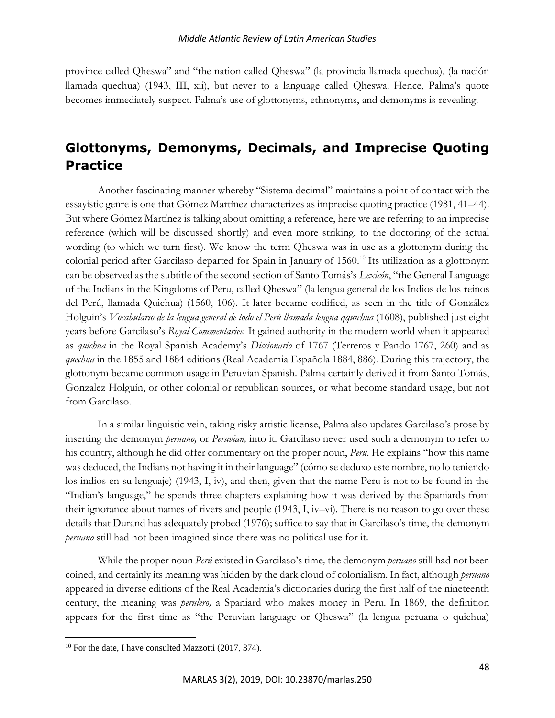province called Qheswa" and "the nation called Qheswa" (la provincia llamada quechua), (la nación llamada quechua) (1943, III, xii), but never to a language called Qheswa. Hence, Palma's quote becomes immediately suspect. Palma's use of glottonyms, ethnonyms, and demonyms is revealing.

# **Glottonyms, Demonyms, Decimals, and Imprecise Quoting Practice**

Another fascinating manner whereby "Sistema decimal" maintains a point of contact with the essayistic genre is one that Gómez Martínez characterizes as imprecise quoting practice (1981, 41–44). But where Gómez Martínez is talking about omitting a reference, here we are referring to an imprecise reference (which will be discussed shortly) and even more striking, to the doctoring of the actual wording (to which we turn first). We know the term Qheswa was in use as a glottonym during the colonial period after Garcilaso departed for Spain in January of 1560.<sup>10</sup> Its utilization as a glottonym can be observed as the subtitle of the second section of Santo Tomás's *Lexicón*, "the General Language of the Indians in the Kingdoms of Peru, called Qheswa" (la lengua general de los Indios de los reinos del Perú, llamada Quichua) (1560, 106). It later became codified, as seen in the title of González Holguín's *Vocabulario de la lengua general de todo el Perú llamada lengua qquichua* (1608), published just eight years before Garcilaso's *Royal Commentaries.* It gained authority in the modern world when it appeared as *quichua* in the Royal Spanish Academy's *Diccionario* of 1767 (Terreros y Pando 1767, 260) and as *quechua* in the 1855 and 1884 editions (Real Academia Española 1884, 886). During this trajectory, the glottonym became common usage in Peruvian Spanish. Palma certainly derived it from Santo Tomás, Gonzalez Holguín, or other colonial or republican sources, or what become standard usage, but not from Garcilaso.

In a similar linguistic vein, taking risky artistic license, Palma also updates Garcilaso's prose by inserting the demonym *peruano,* or *Peruvian,* into it. Garcilaso never used such a demonym to refer to his country, although he did offer commentary on the proper noun, *Peru*. He explains "how this name was deduced, the Indians not having it in their language" (cómo se deduxo este nombre, no lo teniendo los indios en su lenguaje) (1943, I, iv), and then, given that the name Peru is not to be found in the "Indian's language," he spends three chapters explaining how it was derived by the Spaniards from their ignorance about names of rivers and people  $(1943, I, iv-vi)$ . There is no reason to go over these details that Durand has adequately probed (1976); suffice to say that in Garcilaso's time, the demonym *peruano* still had not been imagined since there was no political use for it.

While the proper noun *Perú* existed in Garcilaso's time*,* the demonym *peruano* still had not been coined, and certainly its meaning was hidden by the dark cloud of colonialism. In fact, although *peruano*  appeared in diverse editions of the Real Academia's dictionaries during the first half of the nineteenth century, the meaning was *perulero,* a Spaniard who makes money in Peru. In 1869, the definition appears for the first time as "the Peruvian language or Qheswa" (la lengua peruana o quichua)

 $10$  For the date, I have consulted Mazzotti (2017, 374).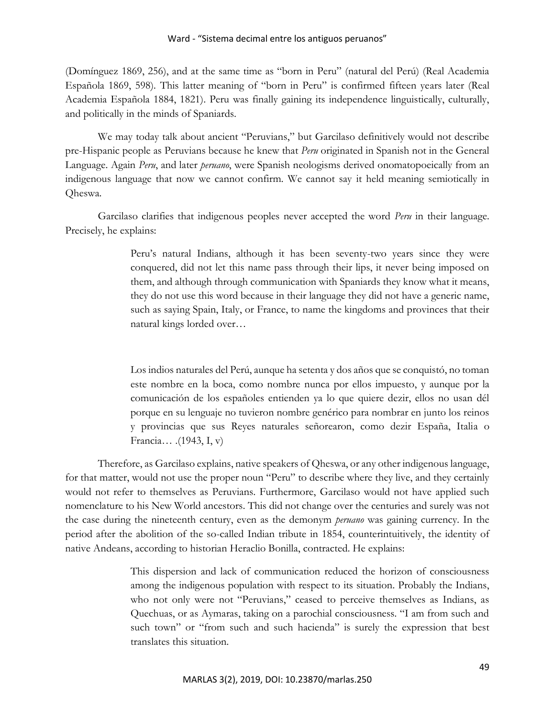(Domínguez 1869, 256), and at the same time as "born in Peru" (natural del Perú) (Real Academia Española 1869, 598)*.* This latter meaning of "born in Peru" is confirmed fifteen years later (Real Academia Española 1884, 1821). Peru was finally gaining its independence linguistically, culturally, and politically in the minds of Spaniards.

We may today talk about ancient "Peruvians," but Garcilaso definitively would not describe pre-Hispanic people as Peruvians because he knew that *Peru* originated in Spanish not in the General Language. Again *Peru*, and later *peruano*, were Spanish neologisms derived onomatopoeically from an indigenous language that now we cannot confirm. We cannot say it held meaning semiotically in Qheswa.

Garcilaso clarifies that indigenous peoples never accepted the word *Peru* in their language. Precisely, he explains:

> Peru's natural Indians, although it has been seventy-two years since they were conquered, did not let this name pass through their lips, it never being imposed on them, and although through communication with Spaniards they know what it means, they do not use this word because in their language they did not have a generic name, such as saying Spain, Italy, or France, to name the kingdoms and provinces that their natural kings lorded over…

> Los indios naturales del Perú, aunque ha setenta y dos años que se conquistó, no toman este nombre en la boca, como nombre nunca por ellos impuesto, y aunque por la comunicación de los españoles entienden ya lo que quiere dezir, ellos no usan dél porque en su lenguaje no tuvieron nombre genérico para nombrar en junto los reinos y provincias que sus Reyes naturales señorearon, como dezir España, Italia o Francia… .(1943, I, v)

Therefore, as Garcilaso explains, native speakers of Qheswa, or any other indigenous language, for that matter, would not use the proper noun "Peru" to describe where they live, and they certainly would not refer to themselves as Peruvians. Furthermore, Garcilaso would not have applied such nomenclature to his New World ancestors. This did not change over the centuries and surely was not the case during the nineteenth century, even as the demonym *peruano* was gaining currency. In the period after the abolition of the so-called Indian tribute in 1854, counterintuitively, the identity of native Andeans, according to historian Heraclio Bonilla, contracted. He explains:

> This dispersion and lack of communication reduced the horizon of consciousness among the indigenous population with respect to its situation. Probably the Indians, who not only were not "Peruvians," ceased to perceive themselves as Indians, as Quechuas, or as Aymaras, taking on a parochial consciousness. "I am from such and such town" or "from such and such hacienda" is surely the expression that best translates this situation.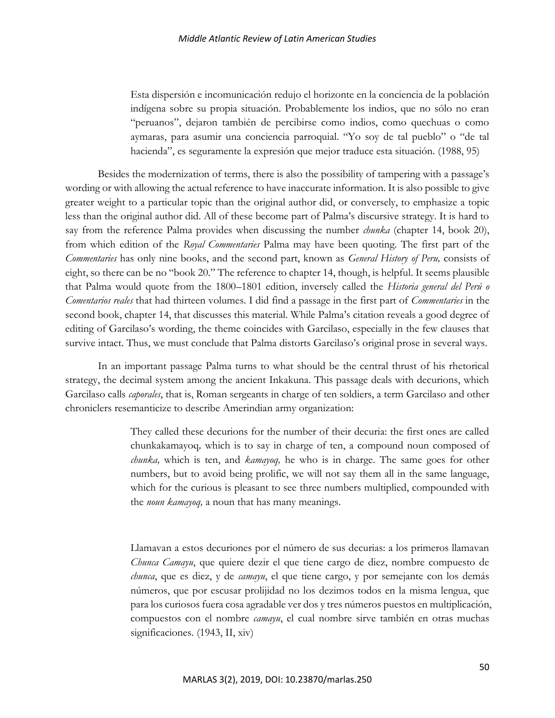Esta dispersión e incomunicación redujo el horizonte en la conciencia de la población indígena sobre su propia situación. Probablemente los indios, que no sólo no eran "peruanos", dejaron también de percibirse como indios, como quechuas o como aymaras, para asumir una conciencia parroquial. "Yo soy de tal pueblo" o "de tal hacienda", es seguramente la expresión que mejor traduce esta situación. (1988, 95)

Besides the modernization of terms, there is also the possibility of tampering with a passage's wording or with allowing the actual reference to have inaccurate information. It is also possible to give greater weight to a particular topic than the original author did, or conversely, to emphasize a topic less than the original author did. All of these become part of Palma's discursive strategy. It is hard to say from the reference Palma provides when discussing the number *chunka* (chapter 14, book 20), from which edition of the *Royal Commentaries* Palma may have been quoting. The first part of the *Commentaries* has only nine books, and the second part, known as *General History of Peru,* consists of eight, so there can be no "book 20." The reference to chapter 14, though, is helpful. It seems plausible that Palma would quote from the 1800–1801 edition, inversely called the *Historia general del Perú o Comentarios reales* that had thirteen volumes. I did find a passage in the first part of *Commentaries* in the second book, chapter 14, that discusses this material. While Palma's citation reveals a good degree of editing of Garcilaso's wording, the theme coincides with Garcilaso, especially in the few clauses that survive intact. Thus, we must conclude that Palma distorts Garcilaso's original prose in several ways.

In an important passage Palma turns to what should be the central thrust of his rhetorical strategy, the decimal system among the ancient Inkakuna. This passage deals with decurions, which Garcilaso calls *caporales*, that is, Roman sergeants in charge of ten soldiers, a term Garcilaso and other chroniclers resemanticize to describe Amerindian army organization:

> They called these decurions for the number of their decuria: the first ones are called chunkakamayoq*,* which is to say in charge of ten, a compound noun composed of *chunka,* which is ten, and *kamayoq,* he who is in charge. The same goes for other numbers, but to avoid being prolific, we will not say them all in the same language, which for the curious is pleasant to see three numbers multiplied, compounded with the *noun kamayoq,* a noun that has many meanings.

> Llamavan a estos decuriones por el número de sus decurias: a los primeros llamavan *Chunca Camayu*, que quiere dezir el que tiene cargo de diez, nombre compuesto de *chunca*, que es diez, y de *camayu*, el que tiene cargo, y por semejante con los demás números, que por escusar prolijidad no los dezimos todos en la misma lengua, que para los curiosos fuera cosa agradable ver dos y tres números puestos en multiplicación, compuestos con el nombre *camayu*, el cual nombre sirve también en otras muchas significaciones. (1943, II, xiv)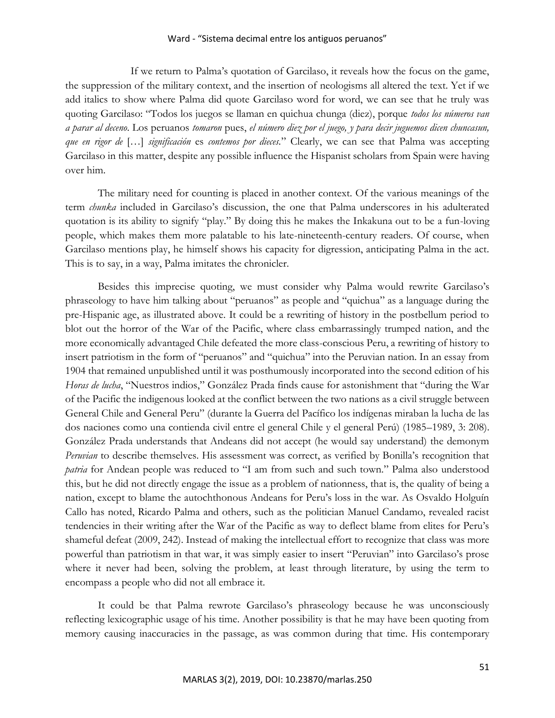If we return to Palma's quotation of Garcilaso, it reveals how the focus on the game, the suppression of the military context, and the insertion of neologisms all altered the text. Yet if we add italics to show where Palma did quote Garcilaso word for word, we can see that he truly was quoting Garcilaso: "Todos los juegos se llaman en quichua chunga (diez), porque *todos los números van a parar al deceno*. Los peruanos *tomaron* pues, *el número diez por el juego, y para decir juguemos dicen chuncasun, que en rigor de* […] *significación* es *contemos por dieces.*" Clearly, we can see that Palma was accepting Garcilaso in this matter, despite any possible influence the Hispanist scholars from Spain were having over him.

The military need for counting is placed in another context. Of the various meanings of the term *chunka* included in Garcilaso's discussion, the one that Palma underscores in his adulterated quotation is its ability to signify "play." By doing this he makes the Inkakuna out to be a fun-loving people, which makes them more palatable to his late-nineteenth-century readers. Of course, when Garcilaso mentions play, he himself shows his capacity for digression, anticipating Palma in the act. This is to say, in a way, Palma imitates the chronicler.

Besides this imprecise quoting, we must consider why Palma would rewrite Garcilaso's phraseology to have him talking about "peruanos" as people and "quichua" as a language during the pre-Hispanic age, as illustrated above. It could be a rewriting of history in the postbellum period to blot out the horror of the War of the Pacific, where class embarrassingly trumped nation, and the more economically advantaged Chile defeated the more class-conscious Peru, a rewriting of history to insert patriotism in the form of "peruanos" and "quichua" into the Peruvian nation. In an essay from 1904 that remained unpublished until it was posthumously incorporated into the second edition of his *Horas de lucha*, "Nuestros indios," González Prada finds cause for astonishment that "during the War of the Pacific the indigenous looked at the conflict between the two nations as a civil struggle between General Chile and General Peru" (durante la Guerra del Pacífico los indígenas miraban la lucha de las dos naciones como una contienda civil entre el general Chile y el general Perú) (1985–1989, 3: 208). González Prada understands that Andeans did not accept (he would say understand) the demonym *Peruvian* to describe themselves. His assessment was correct, as verified by Bonilla's recognition that *patria* for Andean people was reduced to "I am from such and such town." Palma also understood this, but he did not directly engage the issue as a problem of nationness, that is, the quality of being a nation, except to blame the autochthonous Andeans for Peru's loss in the war. As Osvaldo Holguín Callo has noted, Ricardo Palma and others, such as the politician Manuel Candamo, revealed racist tendencies in their writing after the War of the Pacific as way to deflect blame from elites for Peru's shameful defeat (2009, 242). Instead of making the intellectual effort to recognize that class was more powerful than patriotism in that war, it was simply easier to insert "Peruvian" into Garcilaso's prose where it never had been, solving the problem, at least through literature, by using the term to encompass a people who did not all embrace it.

It could be that Palma rewrote Garcilaso's phraseology because he was unconsciously reflecting lexicographic usage of his time. Another possibility is that he may have been quoting from memory causing inaccuracies in the passage, as was common during that time. His contemporary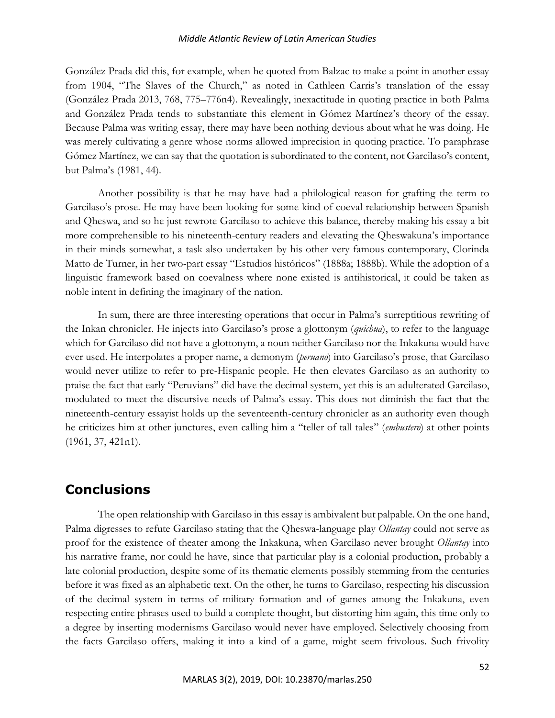### *Middle Atlantic Review of Latin American Studies*

González Prada did this, for example, when he quoted from Balzac to make a point in another essay from 1904, "The Slaves of the Church," as noted in Cathleen Carris's translation of the essay (González Prada 2013, 768, 775–776n4). Revealingly, inexactitude in quoting practice in both Palma and González Prada tends to substantiate this element in Gómez Martínez's theory of the essay. Because Palma was writing essay, there may have been nothing devious about what he was doing. He was merely cultivating a genre whose norms allowed imprecision in quoting practice. To paraphrase Gómez Martínez, we can say that the quotation is subordinated to the content, not Garcilaso's content, but Palma's (1981, 44).

Another possibility is that he may have had a philological reason for grafting the term to Garcilaso's prose. He may have been looking for some kind of coeval relationship between Spanish and Qheswa, and so he just rewrote Garcilaso to achieve this balance, thereby making his essay a bit more comprehensible to his nineteenth-century readers and elevating the Qheswakuna's importance in their minds somewhat, a task also undertaken by his other very famous contemporary, Clorinda Matto de Turner, in her two-part essay "Estudios históricos" (1888a; 1888b). While the adoption of a linguistic framework based on coevalness where none existed is antihistorical, it could be taken as noble intent in defining the imaginary of the nation.

In sum, there are three interesting operations that occur in Palma's surreptitious rewriting of the Inkan chronicler. He injects into Garcilaso's prose a glottonym (*quichua*), to refer to the language which for Garcilaso did not have a glottonym, a noun neither Garcilaso nor the Inkakuna would have ever used. He interpolates a proper name, a demonym (*peruano*) into Garcilaso's prose, that Garcilaso would never utilize to refer to pre-Hispanic people. He then elevates Garcilaso as an authority to praise the fact that early "Peruvians" did have the decimal system, yet this is an adulterated Garcilaso, modulated to meet the discursive needs of Palma's essay. This does not diminish the fact that the nineteenth-century essayist holds up the seventeenth-century chronicler as an authority even though he criticizes him at other junctures, even calling him a "teller of tall tales" (*embustero*) at other points (1961, 37, 421n1).

# **Conclusions**

The open relationship with Garcilaso in this essay is ambivalent but palpable. On the one hand, Palma digresses to refute Garcilaso stating that the Qheswa-language play *Ollantay* could not serve as proof for the existence of theater among the Inkakuna, when Garcilaso never brought *Ollantay* into his narrative frame, nor could he have, since that particular play is a colonial production, probably a late colonial production, despite some of its thematic elements possibly stemming from the centuries before it was fixed as an alphabetic text. On the other, he turns to Garcilaso, respecting his discussion of the decimal system in terms of military formation and of games among the Inkakuna, even respecting entire phrases used to build a complete thought, but distorting him again, this time only to a degree by inserting modernisms Garcilaso would never have employed. Selectively choosing from the facts Garcilaso offers, making it into a kind of a game, might seem frivolous. Such frivolity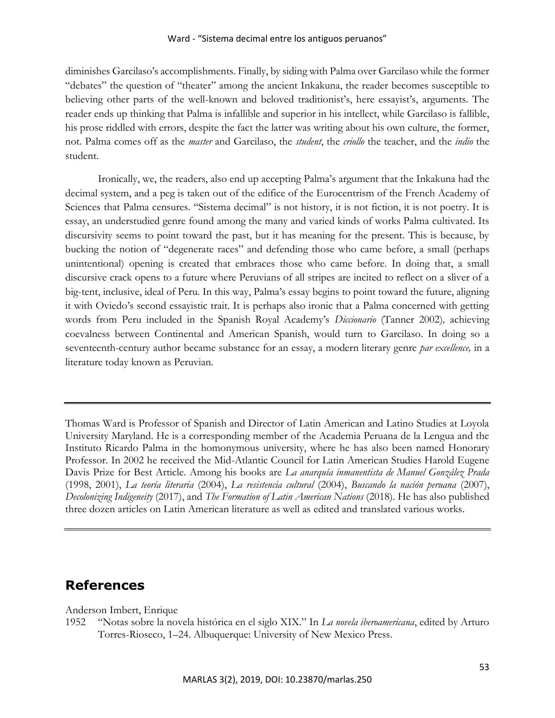diminishes Garcilaso's accomplishments. Finally, by siding with Palma over Garcilaso while the former "debates" the question of "theater" among the ancient Inkakuna, the reader becomes susceptible to believing other parts of the well-known and beloved traditionist's, here essayist's, arguments. The reader ends up thinking that Palma is infallible and superior in his intellect, while Garcilaso is fallible, his prose riddled with errors, despite the fact the latter was writing about his own culture, the former, not. Palma comes off as the *master* and Garcilaso, the *student*, the *criollo* the teacher, and the *indio* the student.

Ironically, we, the readers, also end up accepting Palma's argument that the Inkakuna had the decimal system, and a peg is taken out of the edifice of the Eurocentrism of the French Academy of Sciences that Palma censures. "Sistema decimal" is not history, it is not fiction, it is not poetry. It is essay, an understudied genre found among the many and varied kinds of works Palma cultivated. Its discursivity seems to point toward the past, but it has meaning for the present. This is because, by bucking the notion of "degenerate races" and defending those who came before, a small (perhaps unintentional) opening is created that embraces those who came before. In doing that, a small discursive crack opens to a future where Peruvians of all stripes are incited to reflect on a sliver of a big-tent, inclusive, ideal of Peru. In this way, Palma's essay begins to point toward the future, aligning it with Oviedo's second essayistic trait. It is perhaps also ironic that a Palma concerned with getting words from Peru included in the Spanish Royal Academy's *Diccionario* (Tanner 2002)*,* achieving coevalness between Continental and American Spanish, would turn to Garcilaso. In doing so a seventeenth-century author became substance for an essay, a modern literary genre *par excellence,* in a literature today known as Peruvian*.*

Thomas Ward is Professor of Spanish and Director of Latin American and Latino Studies at Loyola University Maryland. He is a corresponding member of the Academia Peruana de la Lengua and the Instituto Ricardo Palma in the homonymous university, where he has also been named Honorary Professor. In 2002 he received the Mid-Atlantic Council for Latin American Studies Harold Eugene Davis Prize for Best Article. Among his books are *La anarquía inmanentista de Manuel González Prada* (1998, 2001), *La teoría literaria* (2004), *La resistencia cultural* (2004), *Buscando la nación peruana* (2007), *Decolonizing Indigeneity* (2017), and *The Formation of Latin American Nations* (2018). He has also published three dozen articles on Latin American literature as well as edited and translated various works.

# **References**

Anderson Imbert, Enrique

1952 "Notas sobre la novela histórica en el siglo XIX." In *La novela iberoamericana*, edited by Arturo Torres-Rioseco, 1–24. Albuquerque: University of New Mexico Press.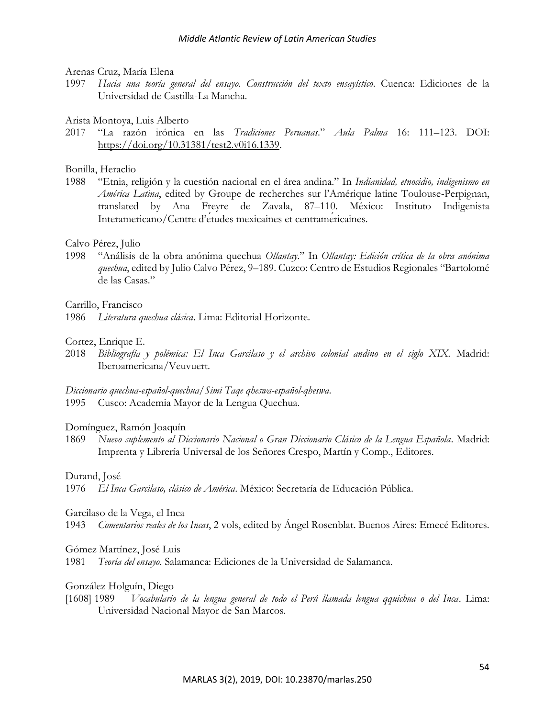Arenas Cruz, María Elena

1997 *Hacia una teoría general del ensayo. Construcción del texto ensayístico*. Cuenca: Ediciones de la Universidad de Castilla-La Mancha.

Arista Montoya, Luis Alberto

2017 "La razón irónica en las *Tradiciones Peruanas*." *Aula Palma* 16: 111–123. DOI: [https://doi.org/10.31381/test2.v0i16.1339.](https://doi.org/10.31381/test2.v0i16.1339)

Bonilla, Heraclio

1988 "Etnia, religión y la cuestión nacional en el área andina." In *Indianidad, etnocidio, indigenismo en América Latina*, edited by Groupe de recherches sur l'Amérique latine Toulouse-Perpignan, translated by Ana Freyre de Zavala, 87–110. México: Instituto Indigenista Interamericano/Centre d'études mexicaines et centraméricaines.

Calvo Pérez, Julio

1998 "Análisis de la obra anónima quechua *Ollantay*." In *Ollantay: Edición crítica de la obra anónima quechua*, edited by Julio Calvo Pérez, 9–189. Cuzco: Centro de Estudios Regionales "Bartolomé de las Casas."

Carrillo, Francisco

1986 *Literatura quechua clásica*. Lima: Editorial Horizonte.

Cortez, Enrique E.

2018 *Bibliografía y polémica: El Inca Garcilaso y el archivo colonial andino en el siglo XIX.* Madrid: Iberoamericana/Veuvuert.

*Diccionario quechua-español-quechua/Simi Taqe qheswa-español-qheswa*. 1995 Cusco: Academia Mayor de la Lengua Quechua.

### Domínguez, Ramón Joaquín

1869 *Nuevo suplemento al Diccionario Nacional o Gran Diccionario Clásico de la Lengua Española*. Madrid: Imprenta y Librería Universal de los Señores Crespo, Martín y Comp., Editores.

Durand, José

1976 *El Inca Garcilaso, clásico de América*. México: Secretaría de Educación Pública.

Garcilaso de la Vega, el Inca

1943 *Comentarios reales de los Incas*, 2 vols, edited by Ángel Rosenblat. Buenos Aires: Emecé Editores.

### Gómez Martínez, José Luis

1981 *Teoría del ensayo*. Salamanca: Ediciones de la Universidad de Salamanca.

González Holguín, Diego

[1608] 1989 *Vocabulario de la lengua general de todo el Perú llamada lengua qquichua o del Inca*. Lima: Universidad Nacional Mayor de San Marcos.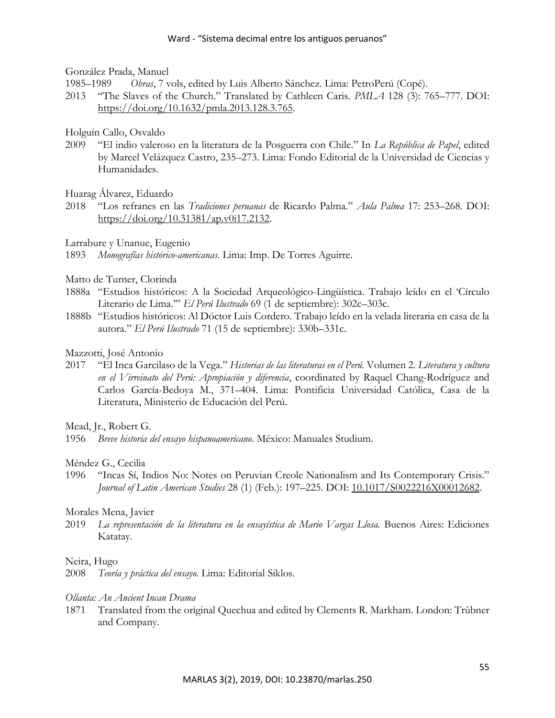### González Prada, Manuel

1985–1989 *Obras*, 7 vols, edited by Luis Alberto Sánchez. Lima: PetroPerú (Copé).

2013 "The Slaves of the Church." Translated by Cathleen Caris. *PMLA* 128 (3): 765–777. DOI: [https://doi.org/10.1632/pmla.2013.128.3.765.](https://doi.org/10.1632/pmla.2013.128.3.765)

# Holguín Callo, Osvaldo

2009 "El indio valeroso en la literatura de la Posguerra con Chile." In *La República de Papel*, edited by Marcel Velázquez Castro, 235–273. Lima: Fondo Editorial de la Universidad de Ciencias y Humanidades.

# Huarag Álvarez, Eduardo

2018 "Los refranes en las *Tradiciones peruanas* de Ricardo Palma." *Aula Palma* 17: 253–268. DOI: [https://doi.org/10.31381/ap.v0i17.2132.](https://doi.org/10.31381/ap.v0i17.2132)

Larrabure y Unanue, Eugenio

1893 *Monografías histórico-americanas*. Lima: Imp. De Torres Aguirre.

# Matto de Turner, Clorinda

- 1888a "Estudios históricos: A la Sociedad Arqueológico-Lingüística. Trabajo leído en el 'Círculo Literario de Lima.'" *El Perú Ilustrado* 69 (1 de septiembre): 302c–303c.
- 1888b "Estudios históricos: Al Dóctor Luis Cordero. Trabajo leído en la velada literaria en casa de la autora." *El Perú Ilustrado* 71 (15 de septiembre): 330b–331c.

# Mazzotti, José Antonio

2017 "El Inca Garcilaso de la Vega." *Historias de las literaturas en el Perú.* Volumen 2. *Literatura y cultura en el Virreinato del Perú: Apropiación y diferencia*, coordinated by Raquel Chang-Rodríguez and Carlos García-Bedoya M., 371–404. Lima: Pontificia Universidad Católica, Casa de la Literatura, Ministerio de Educación del Perú.

Mead, Jr., Robert G.

1956 *Breve historia del ensayo hispanoamericano*. México: Manuales Studium.

# Méndez G., Cecilia

1996 "Incas Sí, Indios No: Notes on Peruvian Creole Nationalism and Its Contemporary Crisis." *Journal of Latin American Studies* 28 (1) (Feb.): 197–225. DOI: [10.1017/S0022216X00012682.](file:///C:/Users/thoma/Documents/DATA-NewStuff_InProgress/libros/Garcilaso)

# Morales Mena, Javier

2019 *La representación de la literatura en la ensayística de Mario Vargas Llosa*. Buenos Aires: Ediciones Katatay.

### Neira, Hugo

2008 *Teoría y práctica del ensayo.* Lima: Editorial Siklos.

### *Ollanta: An Ancient Incan Drama*

1871 Translated from the original Quechua and edited by Clements R. Markham. London: Trübner and Company.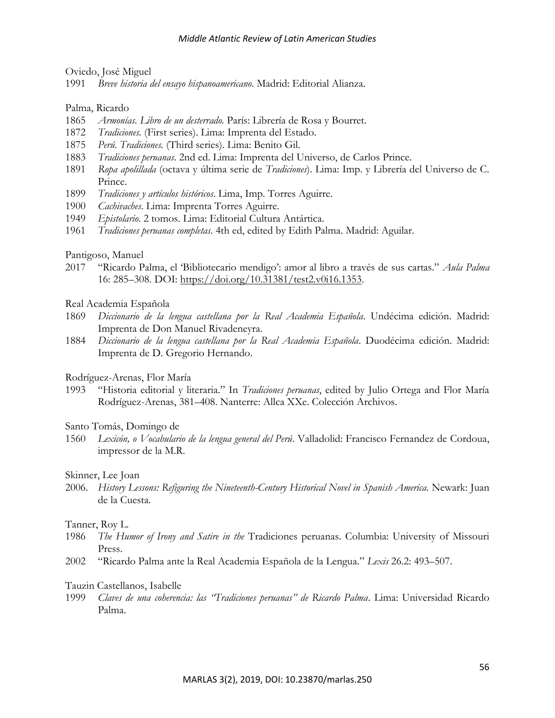Oviedo, José Miguel

1991 *Breve historia del ensayo hispanoamericano*. Madrid: Editorial Alianza.

Palma, Ricardo

- 1865 *Armonías. Libro de un desterrado.* París: Librería de Rosa y Bourret.
- 1872 *Tradiciones.* (First series). Lima: Imprenta del Estado.
- 1875 *Perú. Tradiciones.* (Third series). Lima: Benito Gil.
- 1883 *Tradiciones peruanas*. 2nd ed. Lima: Imprenta del Universo, de Carlos Prince.
- 1891 *Ropa apolillada* (octava y última serie de *Tradiciones*). Lima: Imp. y Librería del Universo de C. Prince.
- 1899 *Tradiciones y artículos históricos*. Lima, Imp. Torres Aguirre.
- 1900 *Cachivaches*. Lima: Imprenta Torres Aguirre.
- 1949 *Epistolario*. 2 tomos. Lima: Editorial Cultura Antártica.
- 1961 *Tradiciones peruanas completas*. 4th ed, edited by Edith Palma. Madrid: Aguilar.

#### Pantigoso, Manuel

2017 "Ricardo Palma, el 'Bibliotecario mendigo': amor al libro a través de sus cartas." *Aula Palma* 16: 285–308. DOI: [https://doi.org/10.31381/test2.v0i16.1353.](https://doi.org/10.31381/test2.v0i16.1353)

#### Real Academia Española

- 1869 *Diccionario de la lengua castellana por la Real Academia Española*. Undécima edición. Madrid: Imprenta de Don Manuel Rivadeneyra.
- 1884 *Diccionario de la lengua castellana por la Real Academia Española*. Duodécima edición. Madrid: Imprenta de D. Gregorio Hernando.

#### Rodríguez-Arenas, Flor María

1993 "Historia editorial y literaria." In *Tradiciones peruanas*, edited by Julio Ortega and Flor María Rodríguez-Arenas, 381–408. Nanterre: Allca XXe. Colección Archivos.

#### Santo Tomás, Domingo de

1560 *Lexicón, o Vocabulario de la lengua general del Perú*. Valladolid: Francisco Fernandez de Cordoua, impressor de la M.R.

#### Skinner, Lee Joan

2006. *History Lessons: Refiguring the Nineteenth-Century Historical Novel in Spanish America.* Newark: Juan de la Cuesta.

#### Tanner, Roy L*.*

- 1986 *The Humor of Irony and Satire in the* Tradiciones peruanas. Columbia: University of Missouri Press.
- 2002 "Ricardo Palma ante la Real Academia Española de la Lengua." *Lexis* 26.2: 493–507.

#### Tauzin Castellanos, Isabelle

1999 *Claves de una coherencia: las "Tradiciones peruanas" de Ricardo Palma*. Lima: Universidad Ricardo Palma.